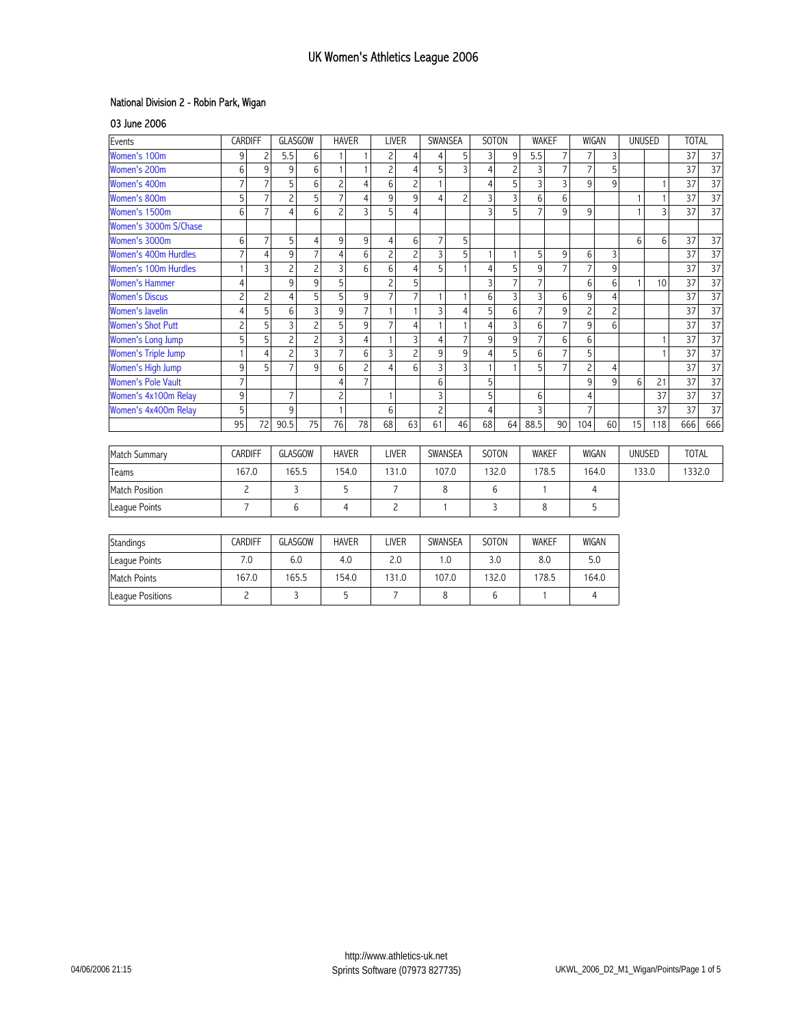## National Division 2 - Robin Park, Wigan

03 June 2006

League Positions

| Events                     | CARDIFF        |                | GLASGOW        |                | <b>HAVER</b>   |                |                 | <b>LIVER</b>   |                | SWANSEA        |                | SOTON          |                | <b>WAKEF</b>   | <b>WIGAN</b>   |                 | UNUSED        |              | <b>TOTAL</b>    |                 |
|----------------------------|----------------|----------------|----------------|----------------|----------------|----------------|-----------------|----------------|----------------|----------------|----------------|----------------|----------------|----------------|----------------|-----------------|---------------|--------------|-----------------|-----------------|
| Women's 100m               | 9              | $\overline{c}$ | 5.5            | 6              |                |                | $\overline{c}$  | 4              | 4              | 5              | 3              | 9              | 5.5            | $\overline{7}$ | $\overline{7}$ | 3               |               |              | 37              | 37              |
| Women's 200m               | 6              | 9              | 9              | 6              | $\mathbf{1}$   | $\mathbf{1}$   | $\overline{c}$  | $\overline{4}$ | 5              | $\overline{3}$ | $\overline{4}$ | $\overline{c}$ | 3              | $\overline{7}$ | $\overline{7}$ | 5               |               |              | 37              | $\overline{37}$ |
| Women's 400m               | $\overline{7}$ | $\overline{7}$ | 5              | 6              | $\overline{c}$ | $\overline{4}$ | 6               | $\overline{c}$ | $\mathbf{1}$   |                | $\overline{4}$ | 5              | $\overline{3}$ | $\overline{3}$ | 9              | 9               |               | $\mathbf{1}$ | 37              | $\overline{37}$ |
| Women's 800m               | 5              | 7              | $\overline{c}$ | 5              | 7              | $\overline{4}$ | 9               | 9              | $\overline{4}$ | $\overline{c}$ | $\overline{3}$ | 3              | $6\phantom{1}$ | 6              |                |                 | $\mathbf{1}$  |              | 37              | $\overline{37}$ |
| Women's 1500m              | 6              | $\overline{7}$ | $\overline{4}$ | 6              | $\overline{c}$ | $\overline{3}$ | 5               | $\overline{4}$ |                |                | $\overline{3}$ | 5              | $\overline{7}$ | 9              | 9              |                 | $\mathbf{1}$  | 3            | 37              | 37              |
| Women's 3000m S/Chase      |                |                |                |                |                |                |                 |                |                |                |                |                |                |                |                |                 |               |              |                 |                 |
| Women's 3000m              | 6              | $\overline{7}$ | 5              | $\overline{4}$ | 9              | 9              | $\overline{4}$  | 6              | $\overline{7}$ | 5              |                |                |                |                |                |                 | 6             | 6            | 37              | 37              |
| Women's 400m Hurdles       | $\overline{7}$ | $\overline{4}$ | 9              | $\overline{7}$ | $\overline{4}$ | 6              | $\overline{c}$  | $\overline{c}$ | $\overline{3}$ | 5              | $\mathbf{1}$   |                | 5              | 9              | 6              | 3               |               |              | $\overline{37}$ | $\overline{37}$ |
| Women's 100m Hurdles       | 1              | $\overline{3}$ | $\overline{c}$ | $\overline{c}$ | 3              | 6              | 6               | $\overline{4}$ | 5              | $\overline{1}$ | $\overline{4}$ | 5              | 9              | $\overline{7}$ | $\overline{7}$ | 9               |               |              | 37              | $\overline{37}$ |
| <b>Women's Hammer</b>      | $\overline{4}$ |                | 9              | 9              | 5              |                | $\overline{c}$  | 5              |                |                | $\overline{3}$ | $\overline{7}$ | $\overline{7}$ |                | 6              | 6               | $\mathbf{1}$  | 10           | 37              | $\overline{37}$ |
| <b>Women's Discus</b>      | $\overline{c}$ | $\overline{c}$ | $\overline{4}$ | 5              | 5              | 9              | $\overline{7}$  | $\overline{7}$ | 1              |                | 6              | 3              | $\overline{3}$ | 6              | 9              | $\overline{4}$  |               |              | 37              | $\overline{37}$ |
| <b>Women's Javelin</b>     | $\overline{4}$ | 5              | 6              | $\overline{3}$ | 9              | $\overline{7}$ | $\mathbf{1}$    | $\mathbf{1}$   | $\overline{3}$ | $\overline{4}$ | 5              | 6              | $\overline{7}$ | 9              | $\overline{c}$ | $\overline{c}$  |               |              | 37              | $\overline{37}$ |
| <b>Women's Shot Putt</b>   | $\overline{c}$ | 5              | $\overline{3}$ | $\overline{c}$ | 5              | 9              | $\overline{7}$  | $\overline{4}$ | $\mathbf{1}$   | $\mathbf{1}$   | $\overline{4}$ | $\overline{3}$ | 6              | $\overline{7}$ | 9              | $6\phantom{1}6$ |               |              | 37              | $\overline{37}$ |
| Women's Long Jump          | 5              | 5              | $\overline{c}$ | $\overline{c}$ | 3              | $\overline{4}$ | $\mathbf{1}$    | 3              | $\overline{4}$ | $\overline{7}$ | 9              | 9              | $\overline{7}$ | $6\phantom{1}$ | 6              |                 |               |              | 37              | $\overline{37}$ |
| <b>Women's Triple Jump</b> | 1              | 4              | $\overline{c}$ | $\overline{3}$ | $\overline{7}$ | 6              | $\overline{3}$  | $\overline{c}$ | 9              | 9              | $\overline{4}$ | 5              | 6              | $\overline{7}$ | 5              |                 |               |              | 37              | $\overline{37}$ |
| Women's High Jump          | 9              | 5              | $\overline{7}$ | 9              | 6              | $\overline{c}$ | $\overline{4}$  | 6              | $\overline{3}$ | $\overline{3}$ | $\mathbf{1}$   |                | 5              | $\overline{7}$ | $\overline{c}$ | $\overline{4}$  |               |              | 37              | $\overline{37}$ |
| <b>Women's Pole Vault</b>  | $\overline{7}$ |                |                |                | $\overline{4}$ | $\overline{7}$ |                 |                | 6              |                | 5              |                |                |                | 9              | 9               | 6             | 21           | 37              | $\overline{37}$ |
| Women's 4x100m Relay       | 9              |                | $\overline{7}$ |                | $\overline{c}$ |                | $\mathbf{1}$    |                | $\overline{3}$ |                | 5              |                | $6\phantom{1}$ |                | $\overline{4}$ |                 |               | 37           | 37              | $\overline{37}$ |
| Women's 4x400m Relay       | 5              |                | 9              |                | $\mathbf{1}$   |                | 6               |                | $\overline{c}$ |                | $\overline{4}$ |                | $\overline{3}$ |                | $\overline{7}$ |                 |               | 37           | 37              | 37              |
|                            | 95             | 72             | 90.5           | 75             | 76             | 78             | 68              | 63             | 61             | 46             | 68             | 64             | 88.5           | 90             | 104            | 60              | 15            | 118          | 666             | 666             |
| Match Summary              | <b>CARDIFF</b> |                | <b>GLASGOW</b> |                | <b>HAVER</b>   |                | <b>LIVER</b>    |                | SWANSEA        |                | SOTON          |                | <b>WAKEF</b>   |                | <b>WIGAN</b>   |                 | <b>UNUSED</b> |              | <b>TOTAL</b>    |                 |
| Teams                      | 167.0          |                | 165.5          |                | 154.0          |                | 131.0           |                | 107.0          |                | 132.0          |                | 178.5          |                | 164.0          |                 | 133.0         |              | 1332.0          |                 |
| <b>Match Position</b>      | $\overline{c}$ |                | $\overline{3}$ |                | 5              |                | $7\overline{ }$ |                | 8              |                | 6              |                | $\overline{1}$ |                | 4              |                 |               |              |                 |                 |
| League Points              | $\overline{7}$ |                | 6              |                | $\overline{4}$ |                | $\overline{c}$  |                | $\mathbf{1}$   |                | 3              |                | 8              |                | 5              |                 |               |              |                 |                 |
|                            |                |                |                |                |                |                |                 |                |                |                |                |                |                |                |                |                 |               |              |                 |                 |
| Standings                  | <b>CARDIFF</b> |                | <b>GLASGOW</b> |                | <b>HAVER</b>   |                | <b>LIVER</b>    |                | SWANSEA        |                | SOTON          |                | <b>WAKEF</b>   |                | <b>WIGAN</b>   |                 |               |              |                 |                 |
| League Points              | 7.0            |                | 6.0            |                | 4.0            |                | 2.0             |                | 1.0            |                | 3.0            |                | 8.0            |                | 5.0            |                 |               |              |                 |                 |
| Match Points               | 167.0          |                | 165.5          |                | 154.0          |                | 131.0           |                | 107.0          |                | 132.0          |                | 178.5          |                | 164.0          |                 |               |              |                 |                 |

7

2 | 3 | 5

8 6 1 4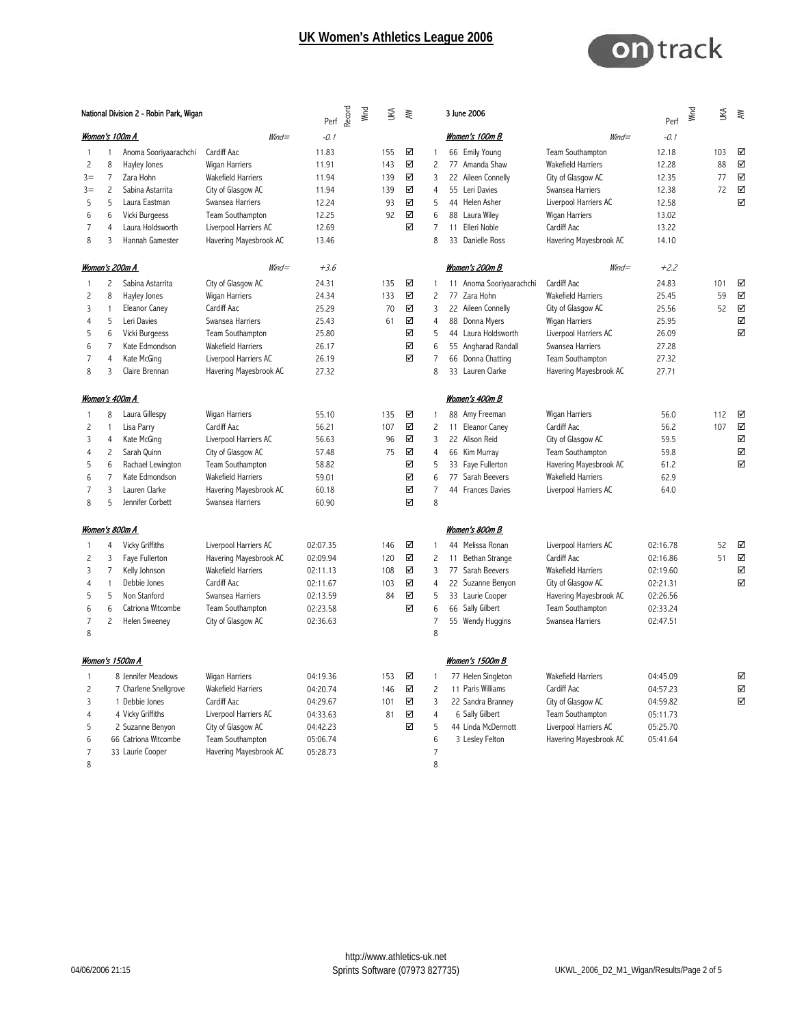

|       |                | National Division 2 - Robin Park, Wigan | Record<br>Perf            | Wind     | ₹ | ₹   |   | 3 June 2006    |                          | Perf                      | Wind     | ЦĶ | ₹   |   |
|-------|----------------|-----------------------------------------|---------------------------|----------|---|-----|---|----------------|--------------------------|---------------------------|----------|----|-----|---|
|       |                | Women's 100m A                          | $W\!ind =$                | $-0.1$   |   |     |   |                | Women's 100m B           | $W\!ind =$                | $-0.1$   |    |     |   |
| 1     | -1             | Anoma Sooriyaarachchi                   | Cardiff Aac               | 11.83    |   | 155 | ☑ | $\overline{1}$ | 66 Emily Young           | Team Southampton          | 12.18    |    | 103 | ☑ |
| 2     | 8              | Hayley Jones                            | Wigan Harriers            | 11.91    |   | 143 | ☑ | $\overline{c}$ | 77 Amanda Shaw           | Wakefield Harriers        | 12.28    |    | 88  | ☑ |
| $3 =$ | 7              | Zara Hohn                               | Wakefield Harriers        | 11.94    |   | 139 | ☑ | 3              | 22 Aileen Connelly       | City of Glasgow AC        | 12.35    |    | 77  | ☑ |
| $3 =$ | $\overline{c}$ | Sabina Astarrita                        | City of Glasgow AC        | 11.94    |   | 139 | ☑ | $\overline{4}$ | 55<br>Leri Davies        | Swansea Harriers          | 12.38    |    | 72  | ☑ |
| 5     | 5              | Laura Eastman                           | Swansea Harriers          | 12.24    |   | 93  | ☑ | 5              | 44 Helen Asher           | Liverpool Harriers AC     | 12.58    |    |     | ☑ |
| 6     | 6              | Vicki Burgeess                          | Team Southampton          | 12.25    |   | 92  | ☑ | 6              | 88 Laura Wiley           | Wigan Harriers            | 13.02    |    |     |   |
| 7     | 4              | Laura Holdsworth                        | Liverpool Harriers AC     | 12.69    |   |     | ☑ | $\overline{7}$ | Elleri Noble<br>11       | Cardiff Aac               | 13.22    |    |     |   |
| 8     | 3              | Hannah Gamester                         | Havering Mayesbrook AC    | 13.46    |   |     |   | 8              | 33 Danielle Ross         | Havering Mayesbrook AC    | 14.10    |    |     |   |
|       |                | <u>Women's 200m A</u>                   | $W\!ind =$                | $+3.6$   |   |     |   |                | <u>Women's 200m B</u>    | $W\!ind =$                | $+2.2$   |    |     |   |
| 1     | 2              | Sabina Astarrita                        | City of Glasgow AC        | 24.31    |   | 135 | ☑ | $\overline{1}$ | 11 Anoma Sooriyaarachchi | Cardiff Aac               | 24.83    |    | 101 | ☑ |
| 2     | 8              | Hayley Jones                            | Wigan Harriers            | 24.34    |   | 133 | ☑ | $\overline{c}$ | 77 Zara Hohn             | <b>Wakefield Harriers</b> | 25.45    |    | 59  | ☑ |
| 3     | -1             | Eleanor Caney                           | Cardiff Aac               | 25.29    |   | 70  | ☑ | 3              | 22 Aileen Connelly       | City of Glasgow AC        | 25.56    |    | 52  | ☑ |
| 4     | 5              | Leri Davies                             | Swansea Harriers          | 25.43    |   | 61  | ☑ | $\overline{4}$ | Donna Myers<br>88        | Wigan Harriers            | 25.95    |    |     | ☑ |
| 5     | 6              | Vicki Burgeess                          | Team Southampton          | 25.80    |   |     | ☑ | 5              | 44 Laura Holdsworth      | Liverpool Harriers AC     | 26.09    |    |     | ☑ |
| 6     | 7              | Kate Edmondson                          | Wakefield Harriers        | 26.17    |   |     | ☑ | 6              | 55 Angharad Randall      | Swansea Harriers          | 27.28    |    |     |   |
| 7     | 4              | Kate McGing                             | Liverpool Harriers AC     | 26.19    |   |     | ☑ | $\overline{7}$ | 66 Donna Chatting        | Team Southampton          | 27.32    |    |     |   |
| 8     | 3              | Claire Brennan                          | Havering Mayesbrook AC    | 27.32    |   |     |   | 8              | 33 Lauren Clarke         | Havering Mayesbrook AC    | 27.71    |    |     |   |
|       |                | <u>Women's 400m A</u>                   |                           |          |   |     |   |                | <u>Women's 400m B</u>    |                           |          |    |     |   |
|       | 8              | Laura Gillespy                          | Wigan Harriers            | 55.10    |   | 135 | ☑ | -1             | 88 Amy Freeman           | Wigan Harriers            | 56.0     |    | 112 | ☑ |
| 2     | -1             | Lisa Parry                              | Cardiff Aac               | 56.21    |   | 107 | ☑ | $\overline{c}$ | 11 Eleanor Caney         | Cardiff Aac               | 56.2     |    | 107 | ☑ |
| 3     | 4              | Kate McGing                             | Liverpool Harriers AC     | 56.63    |   | 96  | ☑ | 3              | 22 Alison Reid           | City of Glasgow AC        | 59.5     |    |     | ☑ |
| 4     | 2              | Sarah Quinn                             | City of Glasgow AC        | 57.48    |   | 75  | ☑ | 4              | 66 Kim Murray            | Team Southampton          | 59.8     |    |     | ☑ |
| 5     | 6              | Rachael Lewington                       | Team Southampton          | 58.82    |   |     | ☑ | 5              | 33 Faye Fullerton        | Havering Mayesbrook AC    | 61.2     |    |     | ☑ |
| 6     | 7              | Kate Edmondson                          | <b>Wakefield Harriers</b> | 59.01    |   |     | ☑ | 6              | 77<br>Sarah Beevers      | <b>Wakefield Harriers</b> | 62.9     |    |     |   |
| 7     | 3              | Lauren Clarke                           | Havering Mayesbrook AC    | 60.18    |   |     | ☑ | 7              | 44 Frances Davies        | Liverpool Harriers AC     | 64.0     |    |     |   |
| 8     | 5              | Jennifer Corbett                        | Swansea Harriers          | 60.90    |   |     | ☑ | 8              |                          |                           |          |    |     |   |
|       |                | <u>Women's 800m A</u>                   |                           |          |   |     |   |                | <u>Women's 800m B</u>    |                           |          |    |     |   |
| 1     | 4              | Vicky Griffiths                         | Liverpool Harriers AC     | 02:07.35 |   | 146 | ☑ | -1             | 44 Melissa Ronan         | Liverpool Harriers AC     | 02:16.78 |    | 52  | ☑ |
| 2     | 3              | Faye Fullerton                          | Havering Mayesbrook AC    | 02:09.94 |   | 120 | ☑ | $\overline{c}$ | 11 Bethan Strange        | Cardiff Aac               | 02:16.86 |    | 51  | ☑ |
| 3     | 7              | Kelly Johnson                           | <b>Wakefield Harriers</b> | 02:11.13 |   | 108 | ☑ | 3              | 77<br>Sarah Beevers      | <b>Wakefield Harriers</b> | 02:19.60 |    |     | ☑ |
| 4     | 1              | Debbie Jones                            | Cardiff Aac               | 02:11.67 |   | 103 | ☑ | $\overline{4}$ | 22 Suzanne Benyon        | City of Glasgow AC        | 02:21.31 |    |     | ☑ |
| 5     | 5              | Non Stanford                            | Swansea Harriers          | 02:13.59 |   | 84  | ☑ | 5              | 33 Laurie Cooper         | Havering Mayesbrook AC    | 02:26.56 |    |     |   |
| 6     | 6              | Catriona Witcombe                       | Team Southampton          | 02:23.58 |   |     | ☑ | 6              | 66<br>Sally Gilbert      | Team Southampton          | 02:33.24 |    |     |   |
| 7     | 2              | Helen Sweeney                           | City of Glasgow AC        | 02:36.63 |   |     |   | $\overline{7}$ | 55 Wendy Huggins         | Swansea Harriers          | 02:47.51 |    |     |   |
| 8     |                |                                         |                           |          |   |     |   | 8              |                          |                           |          |    |     |   |
|       |                | Women's 1500m A                         |                           |          |   |     |   |                | Women's 1500m B          |                           |          |    |     |   |
|       |                | 8 Jennifer Meadows                      | Wigan Harriers            | 04:19.36 |   | 153 | ☑ | $\mathbf{1}$   | 77 Helen Singleton       | Wakefield Harriers        | 04:45.09 |    |     | ☑ |
| 2     |                | 7 Charlene Snellgrove                   | Wakefield Harriers        | 04:20.74 |   | 146 | ☑ | 2              | 11 Paris Williams        | Cardiff Aac               | 04:57.23 |    |     | ☑ |
| 3     |                | 1 Debbie Jones                          | Cardiff Aac               | 04:29.67 |   | 101 | ☑ | 3              | 22 Sandra Branney        | City of Glasgow AC        | 04:59.82 |    |     | ☑ |
| 4     |                | 4 Vicky Griffiths                       | Liverpool Harriers AC     | 04:33.63 |   | 81  | ☑ | 4              | 6 Sally Gilbert          | Team Southampton          | 05:11.73 |    |     |   |
| 5     |                | 2 Suzanne Benyon                        | City of Glasgow AC        | 04:42.23 |   |     | ☑ | 5              | 44 Linda McDermott       | Liverpool Harriers AC     | 05:25.70 |    |     |   |
| 6     |                | 66 Catriona Witcombe                    | Team Southampton          | 05:06.74 |   |     |   | 6              | 3 Lesley Felton          | Havering Mayesbrook AC    | 05:41.64 |    |     |   |
| 7     |                | 33 Laurie Cooper                        | Havering Mayesbrook AC    | 05:28.73 |   |     |   | 7              |                          |                           |          |    |     |   |
| 8     |                |                                         |                           |          |   |     |   | 8              |                          |                           |          |    |     |   |
|       |                |                                         |                           |          |   |     |   |                |                          |                           |          |    |     |   |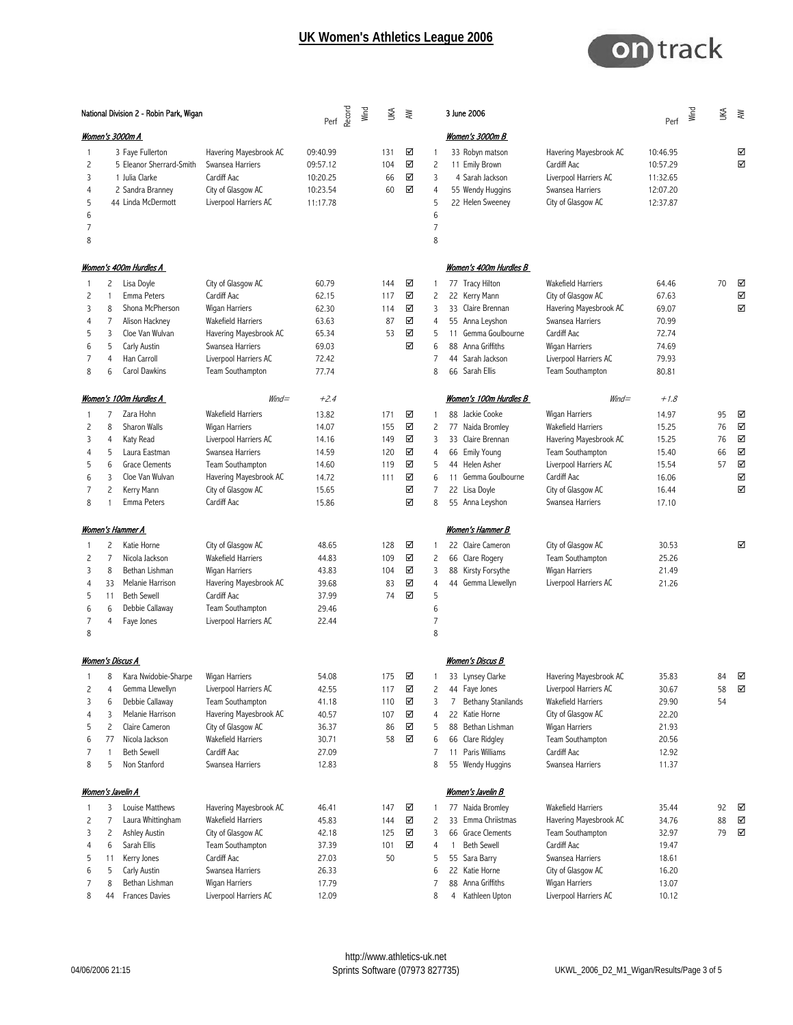

|                                      | National Division 2 - Robin Park, Wigan |                                                                                                                                                          |                                                                                                                                                                                    |                                                                      | Perf<br>Perf<br>& | Wind | ŠК                                     | ₹                                    |                                                                | 3 June 2006                                                                                                                                                             |                                                                                                                                                                             | $Perf$ $\frac{12}{5}$                                                | Š                          | ₹                               |
|--------------------------------------|-----------------------------------------|----------------------------------------------------------------------------------------------------------------------------------------------------------|------------------------------------------------------------------------------------------------------------------------------------------------------------------------------------|----------------------------------------------------------------------|-------------------|------|----------------------------------------|--------------------------------------|----------------------------------------------------------------|-------------------------------------------------------------------------------------------------------------------------------------------------------------------------|-----------------------------------------------------------------------------------------------------------------------------------------------------------------------------|----------------------------------------------------------------------|----------------------------|---------------------------------|
|                                      |                                         | <u> Women's 3000m A</u>                                                                                                                                  |                                                                                                                                                                                    |                                                                      |                   |      |                                        |                                      |                                                                | Women's 3000m B                                                                                                                                                         |                                                                                                                                                                             |                                                                      |                            |                                 |
| 1<br>2<br>3<br>4<br>5<br>6<br>7<br>8 |                                         | 3 Faye Fullerton<br>5 Eleanor Sherrard-Smith<br>1 Julia Clarke<br>2 Sandra Branney<br>44 Linda McDermott                                                 | Havering Mayesbrook AC<br>Swansea Harriers<br>Cardiff Aac<br>City of Glasgow AC<br>Liverpool Harriers AC                                                                           | 09:40.99<br>09:57.12<br>10:20.25<br>10:23.54<br>11:17.78             |                   |      | 131<br>104<br>66<br>60                 | ☑<br>☑<br>☑<br>☑                     | 1<br>$\overline{c}$<br>3<br>4<br>5<br>6<br>7<br>8              | 33 Robyn matson<br>11 Emily Brown<br>4 Sarah Jackson<br>55 Wendy Huggins<br>22 Helen Sweeney                                                                            | Havering Mayesbrook AC<br>Cardiff Aac<br>Liverpool Harriers AC<br>Swansea Harriers<br>City of Glasgow AC                                                                    | 10:46.95<br>10:57.29<br>11:32.65<br>12:07.20<br>12:37.87             |                            | ☑<br>☑                          |
|                                      |                                         | <u>Women's 400m Hurdles A</u>                                                                                                                            |                                                                                                                                                                                    |                                                                      |                   |      |                                        |                                      |                                                                | Women's 400m Hurdles B                                                                                                                                                  |                                                                                                                                                                             |                                                                      |                            |                                 |
| 1<br>2<br>3<br>4<br>5<br>6<br>7<br>8 | 2<br>1<br>8<br>7<br>3<br>5<br>4<br>6    | Lisa Doyle<br>Emma Peters<br>Shona McPherson<br>Alison Hackney<br>Cloe Van Wulvan<br>Carly Austin<br>Han Carroll<br>Carol Dawkins                        | City of Glasgow AC<br>Cardiff Aac<br>Wigan Harriers<br><b>Wakefield Harriers</b><br>Havering Mayesbrook AC<br>Swansea Harriers<br>Liverpool Harriers AC<br>Team Southampton        | 60.79<br>62.15<br>62.30<br>63.63<br>65.34<br>69.03<br>72.42<br>77.74 |                   |      | 144<br>117<br>114<br>87<br>53          | ☑<br>☑<br>☑<br>☑<br>☑<br>☑           | 1<br>2<br>3<br>4<br>5<br>6<br>7<br>8                           | 77 Tracy Hilton<br>22 Kerry Mann<br>33 Claire Brennan<br>55 Anna Leyshon<br>11 Gemma Goulbourne<br>88 Anna Griffiths<br>44 Sarah Jackson<br>66 Sarah Ellis              | <b>Wakefield Harriers</b><br>City of Glasgow AC<br>Havering Mayesbrook AC<br>Swansea Harriers<br>Cardiff Aac<br>Wigan Harriers<br>Liverpool Harriers AC<br>Team Southampton | 64.46<br>67.63<br>69.07<br>70.99<br>72.74<br>74.69<br>79.93<br>80.81 | 70                         | ☑<br>☑<br>☑                     |
|                                      |                                         | Women's 100m Hurdles A                                                                                                                                   | $W\!ind =$                                                                                                                                                                         | $+2.4$                                                               |                   |      |                                        |                                      |                                                                | Women's 100m Hurdles B                                                                                                                                                  | $W\!ind =$                                                                                                                                                                  | $+1.8$                                                               |                            |                                 |
| 1<br>2<br>3<br>4<br>5<br>6<br>7<br>8 | 7<br>8<br>4<br>5<br>6<br>3<br>2         | Zara Hohn<br>Sharon Walls<br>Katy Read<br>Laura Eastman<br><b>Grace Clements</b><br>Cloe Van Wulvan<br>Kerry Mann<br>Emma Peters                         | <b>Wakefield Harriers</b><br>Wigan Harriers<br>Liverpool Harriers AC<br>Swansea Harriers<br>Team Southampton<br>Havering Mayesbrook AC<br>City of Glasgow AC<br>Cardiff Aac        | 13.82<br>14.07<br>14.16<br>14.59<br>14.60<br>14.72<br>15.65<br>15.86 |                   |      | 171<br>155<br>149<br>120<br>119<br>111 | ☑<br>☑<br>☑<br>☑<br>☑<br>☑<br>☑<br>☑ | 1<br>2<br>3<br>4<br>5<br>6<br>7<br>8                           | 88 Jackie Cooke<br>77 Naida Bromley<br>33 Claire Brennan<br>66 Emily Young<br>44 Helen Asher<br>11 Gemma Goulbourne<br>22 Lisa Doyle<br>55 Anna Leyshon                 | Wigan Harriers<br>Wakefield Harriers<br>Havering Mayesbrook AC<br>Team Southampton<br>Liverpool Harriers AC<br>Cardiff Aac<br>City of Glasgow AC<br>Swansea Harriers        | 14.97<br>15.25<br>15.25<br>15.40<br>15.54<br>16.06<br>16.44<br>17.10 | 95<br>76<br>76<br>66<br>57 | ☑<br>☑<br>☑<br>☑<br>☑<br>☑<br>☑ |
|                                      |                                         | <u>Women's Hammer A</u>                                                                                                                                  |                                                                                                                                                                                    |                                                                      |                   |      |                                        |                                      |                                                                | <u> Women's Hammer B</u>                                                                                                                                                |                                                                                                                                                                             |                                                                      |                            |                                 |
| ı<br>2<br>3<br>4<br>5<br>6<br>7<br>8 | 2<br>7<br>8<br>33<br>11<br>6<br>4       | Katie Horne<br>Nicola Jackson<br>Bethan Lishman<br>Melanie Harrison<br><b>Beth Sewell</b><br>Debbie Callaway<br>Faye Jones                               | City of Glasgow AC<br><b>Wakefield Harriers</b><br>Wigan Harriers<br>Havering Mayesbrook AC<br>Cardiff Aac<br>Team Southampton<br>Liverpool Harriers AC                            | 48.65<br>44.83<br>43.83<br>39.68<br>37.99<br>29.46<br>22.44          |                   |      | 128<br>109<br>104<br>83<br>74          | ☑<br>☑<br>☑<br>☑<br>☑                | 1<br>$\overline{c}$<br>3<br>4<br>5<br>6<br>$\overline{7}$<br>8 | 22 Claire Cameron<br>66 Clare Rogery<br>88 Kirsty Forsythe<br>44 Gemma Llewellyn                                                                                        | City of Glasgow AC<br>Team Southampton<br>Wigan Harriers<br>Liverpool Harriers AC                                                                                           | 30.53<br>25.26<br>21.49<br>21.26                                     |                            | ☑                               |
|                                      |                                         | Women's Discus A                                                                                                                                         |                                                                                                                                                                                    |                                                                      |                   |      |                                        |                                      |                                                                | Women's Discus B                                                                                                                                                        |                                                                                                                                                                             |                                                                      |                            |                                 |
| 2<br>3<br>4<br>5<br>6<br>7<br>8      | 8<br>4<br>6<br>3<br>2<br>77<br>-1<br>5  | Kara Nwidobie-Sharpe<br>Gemma Llewellyn<br>Debbie Callaway<br>Melanie Harrison<br>Claire Cameron<br>Nicola Jackson<br><b>Beth Sewell</b><br>Non Stanford | <b>Wigan Harriers</b><br>Liverpool Harriers AC<br>Team Southampton<br>Havering Mayesbrook AC<br>City of Glasgow AC<br><b>Wakefield Harriers</b><br>Cardiff Aac<br>Swansea Harriers | 54.08<br>42.55<br>41.18<br>40.57<br>36.37<br>30.71<br>27.09<br>12.83 |                   |      | 175<br>117<br>110<br>107<br>86<br>58   | ☑<br>☑<br>☑<br>☑<br>☑<br>☑           | 2<br>3<br>4<br>5<br>6<br>7<br>8                                | 33 Lynsey Clarke<br>44 Faye Jones<br><b>Bethany Stanilands</b><br>7<br>22 Katie Horne<br>88 Bethan Lishman<br>66 Clare Ridgley<br>11 Paris Williams<br>55 Wendy Huggins | Havering Mayesbrook AC<br>Liverpool Harriers AC<br><b>Wakefield Harriers</b><br>City of Glasgow AC<br>Wigan Harriers<br>Team Southampton<br>Cardiff Aac<br>Swansea Harriers | 35.83<br>30.67<br>29.90<br>22.20<br>21.93<br>20.56<br>12.92<br>11.37 | 84<br>58<br>54             | ☑<br>☑                          |
|                                      |                                         | <b>Women's Javelin A</b>                                                                                                                                 |                                                                                                                                                                                    |                                                                      |                   |      |                                        |                                      |                                                                | <u>Women's Javelin B</u>                                                                                                                                                |                                                                                                                                                                             |                                                                      |                            |                                 |
| 1<br>2<br>3<br>4<br>5<br>6<br>7      | 3<br>7<br>2<br>6<br>11<br>5<br>8        | Louise Matthews<br>Laura Whittingham<br>Ashley Austin<br>Sarah Ellis<br>Kerry Jones<br>Carly Austin<br>Bethan Lishman                                    | Havering Mayesbrook AC<br><b>Wakefield Harriers</b><br>City of Glasgow AC<br>Team Southampton<br>Cardiff Aac<br>Swansea Harriers<br>Wigan Harriers                                 | 46.41<br>45.83<br>42.18<br>37.39<br>27.03<br>26.33<br>17.79          |                   |      | 147<br>144<br>125<br>101<br>50         | ☑<br>☑<br>☑<br>☑                     | -1<br>$\overline{c}$<br>3<br>4<br>5<br>6<br>7                  | 77 Naida Bromley<br>33 Emma Chriistmas<br>66 Grace Clements<br><b>Beth Sewell</b><br>1<br>55 Sara Barry<br>22 Katie Horne<br>88 Anna Griffiths                          | Wakefield Harriers<br>Havering Mayesbrook AC<br>Team Southampton<br>Cardiff Aac<br>Swansea Harriers<br>City of Glasgow AC<br>Wigan Harriers                                 | 35.44<br>34.76<br>32.97<br>19.47<br>18.61<br>16.20<br>13.07          | 92<br>88<br>79             | ☑<br>☑<br>☑                     |
| 8                                    | 44                                      | Frances Davies                                                                                                                                           | Liverpool Harriers AC                                                                                                                                                              | 12.09                                                                |                   |      |                                        |                                      | 8                                                              | 4 Kathleen Upton                                                                                                                                                        | Liverpool Harriers AC                                                                                                                                                       | 10.12                                                                |                            |                                 |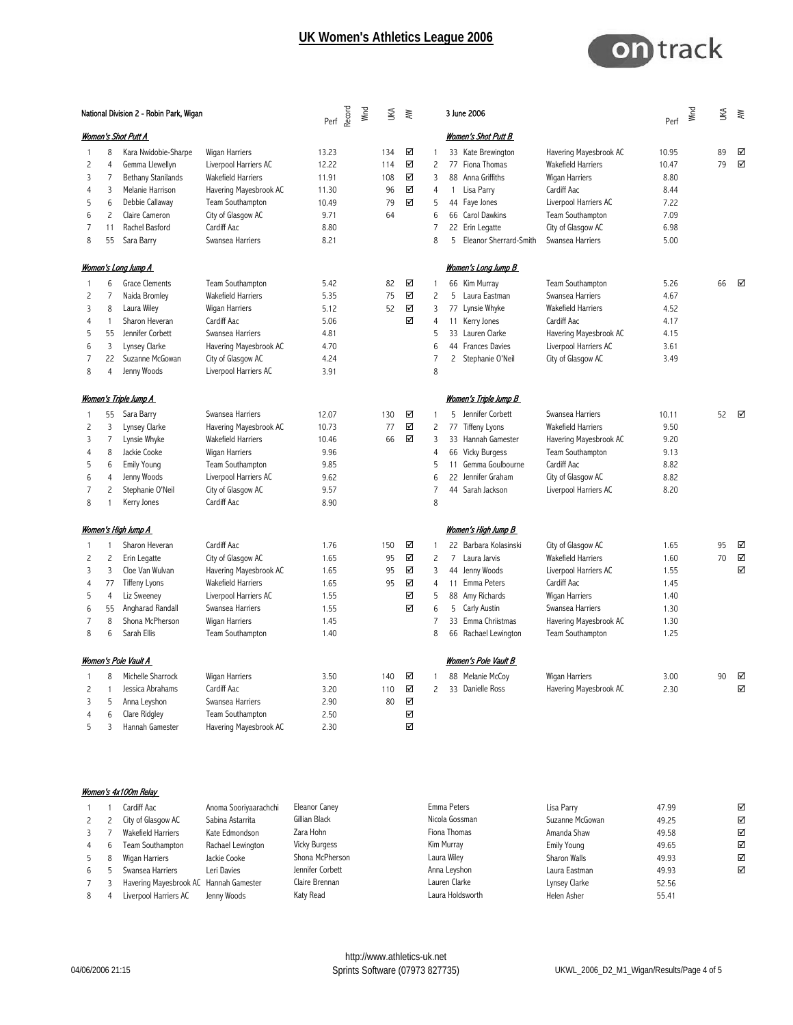

|                | National Division 2 - Robin Park, Wigan |                              |                           | $Perf \overset{\text{def}}{\underset{\text{def}}{\approx}} \overset{\text{def}}{\underset{\text{def}}{\approx}}$ | ŠК  | ≹ |                |                | 3 June 2006                |                           | Perf  | Wind | ŠК | $\gtrapprox$ |
|----------------|-----------------------------------------|------------------------------|---------------------------|------------------------------------------------------------------------------------------------------------------|-----|---|----------------|----------------|----------------------------|---------------------------|-------|------|----|--------------|
|                |                                         | Women's Shot Putt A          |                           |                                                                                                                  |     |   |                |                | Women's Shot Putt B        |                           |       |      |    |              |
| 1              | 8                                       | Kara Nwidobie-Sharpe         | Wigan Harriers            | 13.23                                                                                                            | 134 | ☑ | 1              |                | 33 Kate Brewington         | Havering Mayesbrook AC    | 10.95 |      | 89 | ☑            |
| $\overline{c}$ | 4                                       | Gemma Llewellyn              | Liverpool Harriers AC     | 12.22                                                                                                            | 114 | ☑ | $\overline{c}$ |                | 77 Fiona Thomas            | <b>Wakefield Harriers</b> | 10.47 |      | 79 | ☑            |
| 3              | $\overline{7}$                          | Bethany Stanilands           | Wakefield Harriers        | 11.91                                                                                                            | 108 | ☑ | 3              |                | 88 Anna Griffiths          | <b>Wigan Harriers</b>     | 8.80  |      |    |              |
| $\overline{4}$ | 3                                       | Melanie Harrison             | Havering Mayesbrook AC    | 11.30                                                                                                            | 96  | ☑ | $\overline{4}$ | 1              | Lisa Parry                 | Cardiff Aac               | 8.44  |      |    |              |
| 5              | 6                                       | Debbie Callaway              | Team Southampton          | 10.49                                                                                                            | 79  | ☑ | 5              |                | 44 Faye Jones              | Liverpool Harriers AC     | 7.22  |      |    |              |
| 6              | $\overline{c}$                          | Claire Cameron               | City of Glasgow AC        | 9.71                                                                                                             | 64  |   | 6              |                | 66 Carol Dawkins           | Team Southampton          | 7.09  |      |    |              |
| $\overline{7}$ | 11                                      | Rachel Basford               | Cardiff Aac               | 8.80                                                                                                             |     |   | 7              |                | 22 Erin Legatte            | City of Glasgow AC        | 6.98  |      |    |              |
| 8              | 55                                      | Sara Barry                   | Swansea Harriers          | 8.21                                                                                                             |     |   | 8              | 5              | Eleanor Sherrard-Smith     | Swansea Harriers          | 5.00  |      |    |              |
|                |                                         | <u>Women's Long Jump A</u>   |                           |                                                                                                                  |     |   |                |                | <u>Women's Long Jump B</u> |                           |       |      |    |              |
| -1             | 6                                       | <b>Grace Clements</b>        | Team Southampton          | 5.42                                                                                                             | 82  | ☑ | 1              |                | 66 Kim Murray              | Team Southampton          | 5.26  |      | 66 | ☑            |
| $\overline{c}$ | $\overline{7}$                          | Naida Bromley                | <b>Wakefield Harriers</b> | 5.35                                                                                                             | 75  | ☑ | $\overline{c}$ | 5              | Laura Eastman              | Swansea Harriers          | 4.67  |      |    |              |
| 3              | 8                                       |                              | <b>Wigan Harriers</b>     | 5.12                                                                                                             | 52  | ☑ | 3              |                | Lynsie Whyke               | <b>Wakefield Harriers</b> | 4.52  |      |    |              |
|                |                                         | Laura Wiley                  |                           |                                                                                                                  |     |   |                | 77             |                            |                           |       |      |    |              |
| 4              | 1                                       | Sharon Heveran               | Cardiff Aac               | 5.06                                                                                                             |     | ☑ | 4              |                | 11 Kerry Jones             | Cardiff Aac               | 4.17  |      |    |              |
| 5              | 55                                      | Jennifer Corbett             | Swansea Harriers          | 4.81                                                                                                             |     |   | 5              |                | 33 Lauren Clarke           | Havering Mayesbrook AC    | 4.15  |      |    |              |
| 6              | $\overline{3}$                          | Lynsey Clarke                | Havering Mayesbrook AC    | 4.70                                                                                                             |     |   | 6              |                | 44 Frances Davies          | Liverpool Harriers AC     | 3.61  |      |    |              |
| $\overline{7}$ | 22                                      | Suzanne McGowan              | City of Glasgow AC        | 4.24                                                                                                             |     |   | $\overline{7}$ | $\mathsf{2}$   | Stephanie O'Neil           | City of Glasgow AC        | 3.49  |      |    |              |
| 8              | 4                                       | Jenny Woods                  | Liverpool Harriers AC     | 3.91                                                                                                             |     |   | 8              |                |                            |                           |       |      |    |              |
|                |                                         | <u>Women's Triple Jump A</u> |                           |                                                                                                                  |     |   |                |                | Women's Triple Jump B      |                           |       |      |    |              |
|                | 55                                      | Sara Barry                   | Swansea Harriers          | 12.07                                                                                                            | 130 | ☑ | 1              |                | 5 Jennifer Corbett         | Swansea Harriers          | 10.11 |      | 52 | ☑            |
| $\overline{c}$ | 3                                       | Lynsey Clarke                | Havering Mayesbrook AC    | 10.73                                                                                                            | 77  | ☑ | $\overline{c}$ | 77             | <b>Tiffeny Lyons</b>       | <b>Wakefield Harriers</b> | 9.50  |      |    |              |
| 3              | $\overline{7}$                          | Lynsie Whyke                 | <b>Wakefield Harriers</b> | 10.46                                                                                                            | 66  | ☑ | 3              |                | 33 Hannah Gamester         | Havering Mayesbrook AC    | 9.20  |      |    |              |
| $\overline{4}$ | 8                                       | Jackie Cooke                 | Wigan Harriers            | 9.96                                                                                                             |     |   | $\overline{4}$ | 66             | <b>Vicky Burgess</b>       | Team Southampton          | 9.13  |      |    |              |
| 5              | 6                                       | <b>Emily Young</b>           | Team Southampton          | 9.85                                                                                                             |     |   | 5              |                | 11 Gemma Goulbourne        | Cardiff Aac               | 8.82  |      |    |              |
| 6              | 4                                       | Jenny Woods                  | Liverpool Harriers AC     | 9.62                                                                                                             |     |   | 6              |                | 22 Jennifer Graham         | City of Glasgow AC        | 8.82  |      |    |              |
| $\overline{7}$ | $\overline{c}$                          | Stephanie O'Neil             | City of Glasgow AC        | 9.57                                                                                                             |     |   | 7              |                | 44 Sarah Jackson           | Liverpool Harriers AC     | 8.20  |      |    |              |
| 8              | 1                                       | Kerry Jones                  | Cardiff Aac               | 8.90                                                                                                             |     |   | 8              |                |                            |                           |       |      |    |              |
|                |                                         | <u>Women's High Jump A</u>   |                           |                                                                                                                  |     |   |                |                | Women's High Jump B        |                           |       |      |    |              |
|                | 1                                       | Sharon Heveran               | Cardiff Aac               | 1.76                                                                                                             | 150 | ☑ |                |                | 22 Barbara Kolasinski      | City of Glasgow AC        | 1.65  |      | 95 | ☑            |
| -1             |                                         |                              |                           |                                                                                                                  |     | ☑ | -1             | $\overline{7}$ | Laura Jarvis               |                           |       |      | 70 | ☑            |
| $\overline{c}$ | 2                                       | Erin Legatte                 | City of Glasgow AC        | 1.65                                                                                                             | 95  |   | $\overline{c}$ |                |                            | Wakefield Harriers        | 1.60  |      |    |              |
| 3              | 3                                       | Cloe Van Wulvan              | Havering Mayesbrook AC    | 1.65                                                                                                             | 95  | ☑ | 3              |                | 44 Jenny Woods             | Liverpool Harriers AC     | 1.55  |      |    | ☑            |
| $\overline{4}$ | 77                                      | <b>Tiffeny Lyons</b>         | <b>Wakefield Harriers</b> | 1.65                                                                                                             | 95  | ☑ | $\overline{4}$ |                | 11 Emma Peters             | Cardiff Aac               | 1.45  |      |    |              |
| 5              | $\overline{4}$                          | Liz Sweeney                  | Liverpool Harriers AC     | 1.55                                                                                                             |     | ☑ | 5              |                | 88 Amy Richards            | Wigan Harriers            | 1.40  |      |    |              |
| 6              | 55                                      | Angharad Randall             | Swansea Harriers          | 1.55                                                                                                             |     | ☑ | 6              | 5              | Carly Austin               | Swansea Harriers          | 1.30  |      |    |              |
| $\overline{7}$ | 8                                       | Shona McPherson              | Wigan Harriers            | 1.45                                                                                                             |     |   | 7              | 33             | Emma Chriistmas            | Havering Mayesbrook AC    | 1.30  |      |    |              |
| 8              | 6                                       | Sarah Ellis                  | Team Southampton          | 1.40                                                                                                             |     |   | 8              |                | 66 Rachael Lewington       | Team Southampton          | 1.25  |      |    |              |
|                |                                         | Women's Pole Vault A         |                           |                                                                                                                  |     |   |                |                | Women's Pole Vault B       |                           |       |      |    |              |
| 1              | 8                                       | Michelle Sharrock            | <b>Wigan Harriers</b>     | 3.50                                                                                                             | 140 | ☑ | 1              |                | 88 Melanie McCoy           | <b>Wigan Harriers</b>     | 3.00  |      | 90 | ☑            |
| $\overline{c}$ | 1                                       | Jessica Abrahams             | Cardiff Aac               | 3.20                                                                                                             | 110 | ☑ | $\overline{c}$ |                | 33 Danielle Ross           | Havering Mayesbrook AC    | 2.30  |      |    | ☑            |
| 3              | 5                                       | Anna Leyshon                 | Swansea Harriers          | 2.90                                                                                                             | 80  | ☑ |                |                |                            |                           |       |      |    |              |
| $\overline{4}$ | 6                                       | Clare Ridgley                | Team Southampton          | 2.50                                                                                                             |     | ☑ |                |                |                            |                           |       |      |    |              |
| 5              | 3                                       | Hannah Gamester              | Havering Mayesbrook AC    | 2.30                                                                                                             |     | ☑ |                |                |                            |                           |       |      |    |              |

| Women's 4x100m Relay |  |
|----------------------|--|
|                      |  |

|             | Cardiff Aac                            | Anoma Sooriyaarachchi | Eleanor Caney        | Emma Peters      | Lisa Parry      | 47.99 | ☑ |
|-------------|----------------------------------------|-----------------------|----------------------|------------------|-----------------|-------|---|
| $2^{\circ}$ | City of Glasgow AC                     | Sabina Astarrita      | Gillian Black        | Nicola Gossman   | Suzanne McGowan | 49.25 | ☑ |
| 3           | <b>Wakefield Harriers</b>              | Kate Edmondson        | Zara Hohn            | Fiona Thomas     | Amanda Shaw     | 49.58 | ☑ |
| 4           | Team Southampton                       | Rachael Lewington     | <b>Vicky Burgess</b> | Kim Murray       | Emily Young     | 49.65 | ☑ |
| 5           | Wigan Harriers                         | Jackie Cooke          | Shona McPherson      | Laura Wiley      | Sharon Walls    | 49.93 | ☑ |
| 6           | Swansea Harriers                       | Leri Davies           | Jennifer Corbett     | Anna Leyshon     | Laura Eastman   | 49.93 | ☑ |
| 7           | Havering Mayesbrook AC Hannah Gamester |                       | Claire Brennan       | Lauren Clarke    | Lynsey Clarke   | 52.56 |   |
| 8           | Liverpool Harriers AC                  | Jenny Woods           | Katy Read            | Laura Holdsworth | Helen Asher     | 55.41 |   |